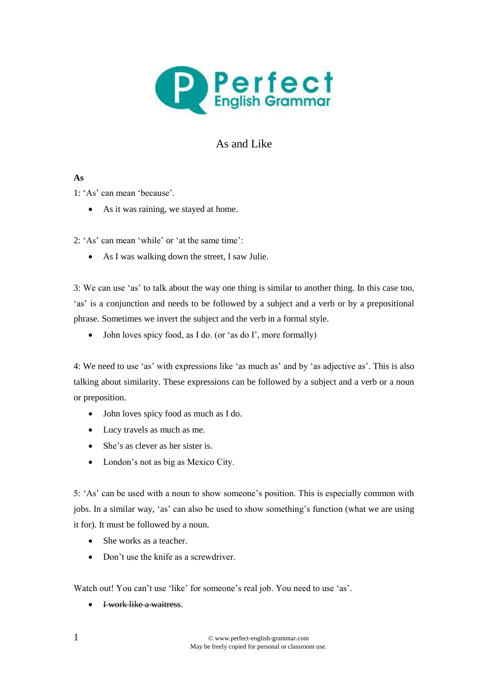

## As and Like

## **As**

1: 'As' can mean 'because'.

• As it was raining, we stayed at home.

2: 'As' can mean 'while' or 'at the same time':

As I was walking down the street, I saw Julie.

3: We can use 'as' to talk about the way one thing is similar to another thing. In this case too, 'as' is a conjunction and needs to be followed by a subject and a verb or by a prepositional phrase. Sometimes we invert the subject and the verb in a formal style.

• John loves spicy food, as I do. (or 'as do I', more formally)

4: We need to use 'as' with expressions like 'as much as' and by 'as adjective as'. This is also talking about similarity. These expressions can be followed by a subject and a verb or a noun or preposition.

- John loves spicy food as much as I do.
- Lucy travels as much as me.
- She's as clever as her sister is.
- London's not as big as Mexico City.

5: 'As' can be used with a noun to show someone's position. This is especially common with jobs. In a similar way, 'as' can also be used to show something's function (what we are using it for). It must be followed by a noun.

- She works as a teacher.
- Don't use the knife as a screwdriver.

Watch out! You can't use 'like' for someone's real job. You need to use 'as'.

I work like a waitress.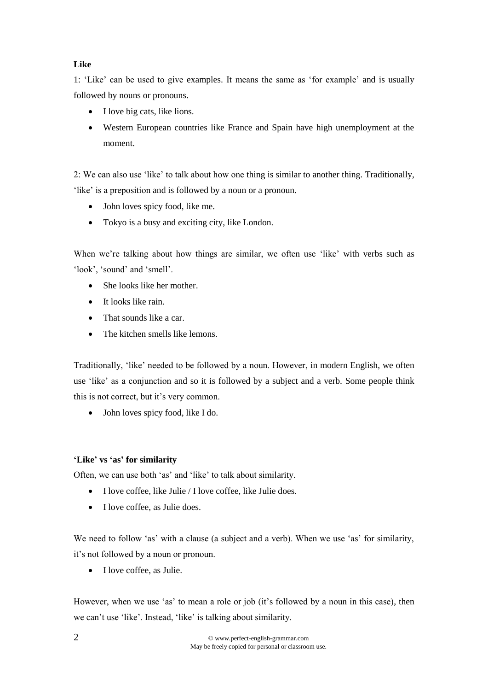## **Like**

1: 'Like' can be used to give examples. It means the same as 'for example' and is usually followed by nouns or pronouns.

- I love big cats, like lions.
- Western European countries like France and Spain have high unemployment at the moment.

2: We can also use 'like' to talk about how one thing is similar to another thing. Traditionally, 'like' is a preposition and is followed by a noun or a pronoun.

- John loves spicy food, like me.
- Tokyo is a busy and exciting city, like London.

When we're talking about how things are similar, we often use 'like' with verbs such as 'look', 'sound' and 'smell'.

- She looks like her mother.
- It looks like rain.
- That sounds like a car.
- The kitchen smells like lemons.

Traditionally, 'like' needed to be followed by a noun. However, in modern English, we often use 'like' as a conjunction and so it is followed by a subject and a verb. Some people think this is not correct, but it's very common.

• John loves spicy food, like I do.

## **'Like' vs 'as' for similarity**

Often, we can use both 'as' and 'like' to talk about similarity.

- $\bullet$  I love coffee, like Julie / I love coffee, like Julie does.
- $\bullet$  I love coffee, as Julie does.

We need to follow 'as' with a clause (a subject and a verb). When we use 'as' for similarity, it's not followed by a noun or pronoun.

• I love coffee, as Julie.

However, when we use 'as' to mean a role or job (it's followed by a noun in this case), then we can't use 'like'. Instead, 'like' is talking about similarity.